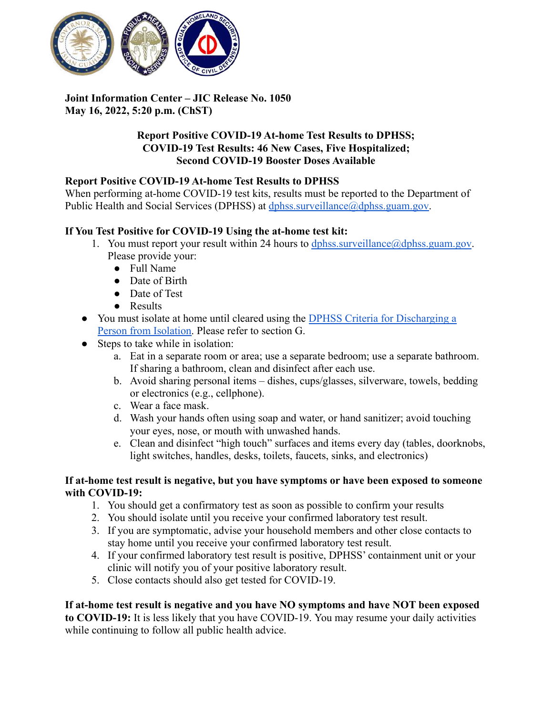

# **Joint Information Center – JIC Release No. 1050 May 16, 2022, 5:20 p.m. (ChST)**

## **Report Positive COVID-19 At-home Test Results to DPHSS; COVID-19 Test Results: 46 New Cases, Five Hospitalized; Second COVID-19 Booster Doses Available**

## **Report Positive COVID-19 At-home Test Results to DPHSS**

When performing at-home COVID-19 test kits, results must be reported to the Department of Public Health and Social Services (DPHSS) at [dphss.surveillance@dphss.guam.gov.](mailto:dphss.surveillance@dphss.guam.gov)

## **If You Test Positive for COVID-19 Using the at-home test kit:**

- 1. You must report your result within 24 hours to dphss.surveillance  $\omega$  dphss.guam.gov. Please provide your:
	- Full Name
	- Date of Birth
	- Date of Test
	- Results
- You must isolate at home until cleared using the DPHSS [Criteria for Discharging a](https://dphss.guam.gov/wp-content/uploads/2022/01/DPHSS-GUIDANCE-MEMO-2021-16-REV02-01-28-2022_FINAL.pdf) [Person from Isolation.](https://dphss.guam.gov/wp-content/uploads/2022/01/DPHSS-GUIDANCE-MEMO-2021-16-REV02-01-28-2022_FINAL.pdf) Please refer to section G.
- Steps to take while in isolation:
	- a. Eat in a separate room or area; use a separate bedroom; use a separate bathroom. If sharing a bathroom, clean and disinfect after each use.
	- b. Avoid sharing personal items dishes, cups/glasses, silverware, towels, bedding or electronics (e.g., cellphone).
	- c. Wear a face mask.
	- d. Wash your hands often using soap and water, or hand sanitizer; avoid touching your eyes, nose, or mouth with unwashed hands.
	- e. Clean and disinfect "high touch" surfaces and items every day (tables, doorknobs, light switches, handles, desks, toilets, faucets, sinks, and electronics)

#### **If at-home test result is negative, but you have symptoms or have been exposed to someone with COVID-19:**

- 1. You should get a confirmatory test as soon as possible to confirm your results
- 2. You should isolate until you receive your confirmed laboratory test result.
- 3. If you are symptomatic, advise your household members and other close contacts to stay home until you receive your confirmed laboratory test result.
- 4. If your confirmed laboratory test result is positive, DPHSS' containment unit or your clinic will notify you of your positive laboratory result.
- 5. Close contacts should also get tested for COVID-19.

#### **If at-home test result is negative and you have NO symptoms and have NOT been exposed to COVID-19:** It is less likely that you have COVID-19. You may resume your daily activities while continuing to follow all public health advice.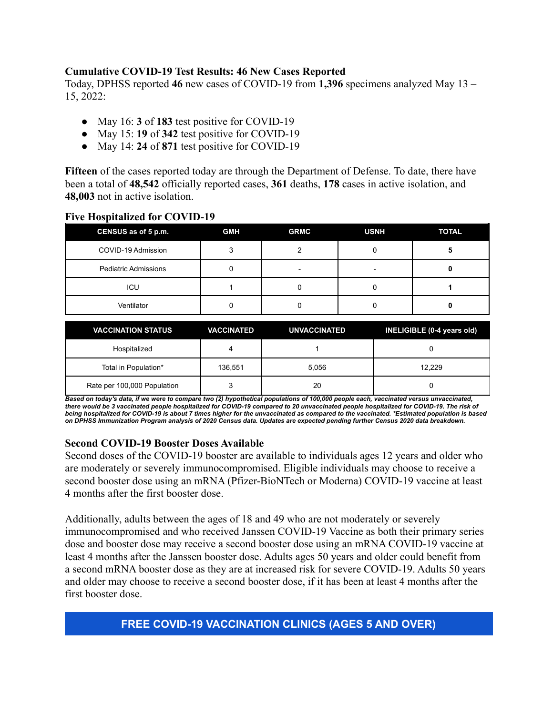### **Cumulative COVID-19 Test Results: 46 New Cases Reported**

Today, DPHSS reported **46** new cases of COVID-19 from **1,396** specimens analyzed May 13 – 15, 2022:

- May 16: **3** of **183** test positive for COVID-19
- May 15: **19** of **342** test positive for COVID-19
- May 14: **24** of **871** test positive for COVID-19

**Fifteen** of the cases reported today are through the Department of Defense. To date, there have been a total of **48,542** officially reported cases, **361** deaths, **178** cases in active isolation, and **48,003** not in active isolation.

#### **Five Hospitalized for COVID-19**

| CENSUS as of 5 p.m.         | <b>GMH</b> | <b>GRMC</b> | <b>USNH</b> | <b>TOTAL</b> |
|-----------------------------|------------|-------------|-------------|--------------|
| COVID-19 Admission          |            |             |             |              |
| <b>Pediatric Admissions</b> |            |             | -           |              |
| ICU                         |            |             |             |              |
| Ventilator                  |            |             |             |              |

| <b>VACCINATION STATUS</b>   | <b>VACCINATED</b> | <b>UNVACCINATED</b> | INELIGIBLE (0-4 years old) |
|-----------------------------|-------------------|---------------------|----------------------------|
| Hospitalized                |                   |                     |                            |
| Total in Population*        | 136,551           | 5.056               | 12.229                     |
| Rate per 100,000 Population |                   | 20                  |                            |

Based on today's data, if we were to compare two (2) hypothetical populations of 100,000 people each, vaccinated versus unvaccinated, there would be 3 vaccinated people hospitalized for COVID-19 compared to 20 unvaccinated people hospitalized for COVID-19. The risk of being hospitalized for COVID-19 is about 7 times higher for the unvaccinated as compared to the vaccinated. \*Estimated population is based on DPHSS Immunization Program analysis of 2020 Census data. Updates are expected pending further Census 2020 data breakdown.

#### **Second COVID-19 Booster Doses Available**

Second doses of the COVID-19 booster are available to individuals ages 12 years and older who are moderately or severely immunocompromised. Eligible individuals may choose to receive a second booster dose using an mRNA (Pfizer-BioNTech or Moderna) COVID-19 vaccine at least 4 months after the first booster dose.

Additionally, adults between the ages of 18 and 49 who are not moderately or severely immunocompromised and who received Janssen COVID-19 Vaccine as both their primary series dose and booster dose may receive a second booster dose using an mRNA COVID-19 vaccine at least 4 months after the Janssen booster dose. Adults ages 50 years and older could benefit from a second mRNA booster dose as they are at increased risk for severe COVID-19. Adults 50 years and older may choose to receive a second booster dose, if it has been at least 4 months after the first booster dose.

# **FREE COVID-19 VACCINATION CLINICS (AGES 5 AND OVER)**